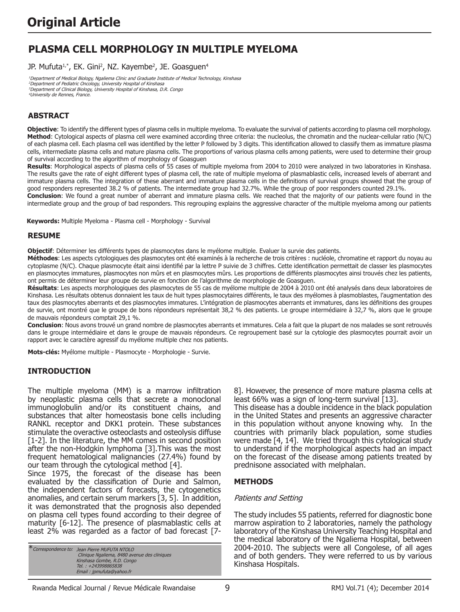# **PLASMA CELL MORPHOLOGY IN MULTIPLE MYELOMA**

JP. Mufuta<sup>1,\*</sup>, EK. Gini<sup>2</sup>, NZ. Kayembe<sup>2</sup>, JE. Goasguen<sup>4</sup>

<sup>1</sup>Department of Medical Biology, Ngaliema Clinic and Graduate Institute of Medical Technology, Kinshasa Department of Pediatric Oncology, University Hospital of Kinshasa Department of Clinical Biology, University Hospital of Kinshasa, D.R. Congo University de Rennes, France.

## **ABSTRACT**

**Objective**: To identify the different types of plasma cells in multiple myeloma. To evaluate the survival of patients according to plasma cell morphology. **Method**: Cytological aspects of plasma cell were examined according three criteria: the nucleolus, the chromatin and the nuclear-cellular ratio (N/C) of each plasma cell. Each plasma cell was identified by the letter P followed by 3 digits. This identification allowed to classify them as immature plasma cells, intermediate plasma cells and mature plasma cells. The proportions of various plasma cells among patients, were used to determine their group of survival according to the algorithm of morphology of Goasguen

**Results**: Morphological aspects of plasma cells of 55 cases of multiple myeloma from 2004 to 2010 were analyzed in two laboratories in Kinshasa. The results gave the rate of eight different types of plasma cell, the rate of multiple myeloma of plasmablastic cells, increased levels of aberrant and immature plasma cells. The integration of these aberrant and immature plasma cells in the definitions of survival groups showed that the group of good responders represented 38.2 % of patients. The intermediate group had 32.7%. While the group of poor responders counted 29.1%.

**Conclusion**: We found a great number of aberrant and immature plasma cells. We reached that the majority of our patients were found in the intermediate group and the group of bad responders. This regrouping explains the aggressive character of the multiple myeloma among our patients

**Keywords:** Multiple Myeloma - Plasma cell - Morphology - Survival

#### **RESUME**

**Objectif**: Déterminer les différents types de plasmocytes dans le myélome multiple. Evaluer la survie des patients.

**Méthodes**: Les aspects cytologiques des plasmocytes ont été examinés à la recherche de trois critères : nucléole, chromatine et rapport du noyau au cytoplasme (N/C). Chaque plasmocyte était ainsi identifié par la lettre P suivie de 3 chiffres. Cette identification permettait de classer les plasmocytes en plasmocytes immatures, plasmocytes non mûrs et en plasmocytes mûrs. Les proportions de différents plasmocytes ainsi trouvés chez les patients, ont permis de déterminer leur groupe de survie en fonction de l'algorithme de morphologie de Goasguen.

**Résultats**: Les aspects morphologiques des plasmocytes de 55 cas de myélome multiple de 2004 à 2010 ont été analysés dans deux laboratoires de Kinshasa. Les résultats obtenus donnaient les taux de huit types plasmocytaires différents, le taux des myélomes à plasmoblastes, l'augmentation des taux des plasmocytes aberrants et des plasmocytes immatures. L'intégration de plasmocytes aberrants et immatures, dans les définitions des groupes de survie, ont montré que le groupe de bons répondeurs représentait 38,2 % des patients. Le groupe intermédiaire à 32,7 %, alors que le groupe de mauvais répondeurs comptait 29,1 %.

**Conclusion**: Nous avons trouvé un grand nombre de plasmocytes aberrants et immatures. Cela a fait que la plupart de nos malades se sont retrouvés dans le groupe intermédiaire et dans le groupe de mauvais répondeurs. Ce regroupement basé sur la cytologie des plasmocytes pourrait avoir un rapport avec le caractère agressif du myélome multiple chez nos patients.

**Mots-clés:** Myélome multiple - Plasmocyte - Morphologie - Survie.

#### **INTRODUCTION**

The multiple myeloma (MM) is a marrow infiltration by neoplastic plasma cells that secrete a monoclonal immunoglobulin and/or its constituent chains, and substances that alter homeostasis bone cells including RANKL receptor and DKK1 protein. These substances stimulate the overactive osteoclasts and osteolysis diffuse [1-2]. In the literature, the MM comes in second position after the non-Hodgkin lymphoma [3].This was the most frequent hematological malignancies (27.4%) found by our team through the cytological method [4].

Since 1975, the forecast of the disease has been evaluated by the classification of Durie and Salmon, the independent factors of forecasts, the cytogenetics anomalies, and certain serum markers [3, 5]. In addition, it was demonstrated that the prognosis also depended on plasma cell types found according to their degree of maturity [6-12]. The presence of plasmablastic cells at least 2% was regarded as a factor of bad forecast [7-

\*Correspondence to: Jean Pierre MUFUTA NTOLO Clinique Ngaliema, 8480 avenue des cliniques Kinshasa Gombe, R.D. Congo Tel. : +243998865838 Email : jpmufuta@yahoo.fr

8]. However, the presence of more mature plasma cells at least 66% was a sign of long-term survival [13].

This disease has a double incidence in the black population in the United States and presents an aggressive character in this population without anyone knowing why. In the countries with primarily black population, some studies were made [4, 14]. We tried through this cytological study to understand if the morphological aspects had an impact on the forecast of the disease among patients treated by prednisone associated with melphalan.

#### **METHODS**

#### Patients and Setting

The study includes 55 patients, referred for diagnostic bone marrow aspiration to 2 laboratories, namely the pathology laboratory of the Kinshasa University Teaching Hospital and the medical laboratory of the Ngaliema Hospital, between 2004-2010. The subjects were all Congolese, of all ages and of both genders. They were referred to us by various Kinshasa Hospitals.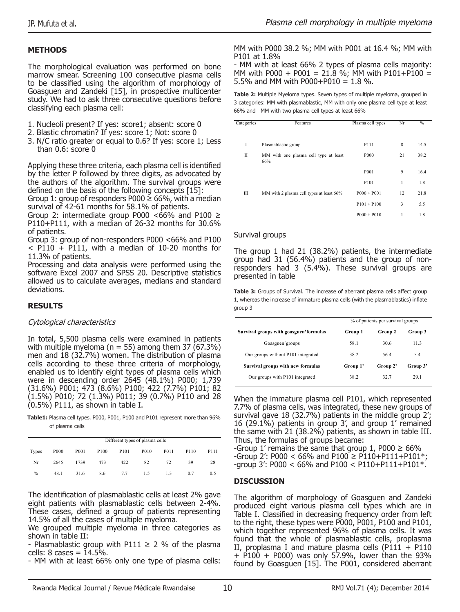# **METHODS**

The morphological evaluation was performed on bone marrow smear. Screening 100 consecutive plasma cells to be classified using the algorithm of morphology of Goasguen and Zandeki [15], in prospective multicenter study. We had to ask three consecutive questions before classifying each plasma cell:

- 1. Nucleoli present? If yes: score1; absent: score 0
- 2. Blastic chromatin? If yes: score 1; Not: score 0
- 3. N/C ratio greater or equal to 0.6? If yes: score 1; Less than 0.6: score 0

Applying these three criteria, each plasma cell is identified by the letter P followed by three digits, as advocated by the authors of the algorithm. The survival groups were defined on the basis of the following concepts [15]:

Group 1: group of responders P000  $\geq$  66%, with a median survival of 42-61 months for 58.1% of patients.

Group 2: intermediate group P000 <66% and P100  $\geq$ P110+P111, with a median of 26-32 months for 30.6% of patients.

Group 3: group of non-responders P000 <66% and P100  $<$  P110 + P111, with a median of 10-20 months for 11.3% of patients.

Processing and data analysis were performed using the software Excel 2007 and SPSS 20. Descriptive statistics allowed us to calculate averages, medians and standard deviations.

# **RESULTS**

### Cytological characteristics

In total, 5,500 plasma cells were examined in patients with multiple myeloma ( $n = 55$ ) among them 37 (67.3%) men and 18 (32.7%) women. The distribution of plasma cells according to these three criteria of morphology, enabled us to identify eight types of plasma cells which were in descending order 2645 (48.1%) P000; 1,739 (31.6%) P001; 473 (8.6%) P100; 422 (7.7%) P101; 82 (1.5%) P010; 72 (1.3%) P011; 39 (0.7%) P110 and 28 (0.5%) P111, as shown in table I.

**Table1:** Plasma cell types. P000, P001, P100 and P101 represent more than 96% of plasma cells

| Different types of plasma cells |      |      |                  |                   |      |      |      |      |  |  |  |
|---------------------------------|------|------|------------------|-------------------|------|------|------|------|--|--|--|
| Types                           | P000 | P001 | P <sub>100</sub> | P <sub>10</sub> 1 | P010 | P011 | P110 | P111 |  |  |  |
| Nr                              | 2645 | 1739 | 473              | 422               | 82   | 72   | 39   | 28   |  |  |  |
| $\frac{0}{0}$                   | 48.1 | 31.6 | 8.6              | 7.7               | 1.5  | 13   | 07   | 0.5  |  |  |  |

The identification of plasmablastic cells at least 2% gave eight patients with plasmablastic cells between 2-4%. These cases, defined a group of patients representing 14.5% of all the cases of multiple myeloma.

We grouped multiple myeloma in three categories as shown in table II:

- Plasmablastic group with P111  $\geq$  2 % of the plasma cells: 8 cases = 14.5%.

- MM with at least 66% only one type of plasma cells:

MM with P000 38.2 %; MM with P001 at 16.4 %; MM with P101 at 1.8%

- MM with at least 66% 2 types of plasma cells majority: MM with P000 + P001 = 21.8 %; MM with P101+P100 = 5.5% and MM with P000+P010 = 1.8 %.

**Table 2:** Multiple Myeloma types. Seven types of multiple myeloma, grouped in 3 categories: MM with plasmablastic, MM with only one plasma cell type at least 66% and MM with two plasma cell types at least 66%

| Categories | Features                                     | Plasma cell types | Nr | $\%$ |
|------------|----------------------------------------------|-------------------|----|------|
| I          | Plasmablastic group                          | P111              | 8  | 14.5 |
| П          | MM with one plasma cell type at least<br>66% | P <sub>000</sub>  | 21 | 38.2 |
|            |                                              | P <sub>001</sub>  | 9  | 16.4 |
|            |                                              | P101              | 1  | 1.8  |
| Ш          | MM with 2 plasma cell types at least 66%     | $P000 + P001$     | 12 | 21.8 |
|            |                                              | $P101 + P100$     | 3  | 5.5  |
|            |                                              | $P000 + P010$     | 1  | 1.8  |

### Survival groups

The group 1 had 21 (38.2%) patients, the intermediate group had 31 (56.4%) patients and the group of nonresponders had 3 (5.4%). These survival groups are presented in table

Table 3: Groups of Survival. The increase of aberrant plasma cells affect group 1, whereas the increase of immature plasma cells (with the plasmablastics) inflate group 3

|                                         | % of patients per survival groups |          |          |  |
|-----------------------------------------|-----------------------------------|----------|----------|--|
| Survival groups with goasguen' formulas | Group 1                           | Group 2  | Group 3  |  |
| Goasguen'groups                         | 58.1                              | 30.6     | 11.3     |  |
| Our groups without P101 integrated      | 38.2                              | 564      | 54       |  |
| Survival groups with new formulas       | Group 1'                          | Group 2' | Group 3' |  |
| Our groups with P101 integrated         | 38.2                              | 32.7     | 29.1     |  |

When the immature plasma cell P101, which represented 7.7% of plasma cells, was integrated, these new groups of survival gave 18 (32.7%) patients in the middle group 2'; 16 (29.1%) patients in group 3', and group 1' remained the same with 21 (38.2%) patients, as shown in table III. Thus, the formulas of groups became:

-Group 1' remains the same that group 1, P000  $\geq$  66%  $-$ Group 2': P000 < 66% and P100  $\geq$  P110+P111+P101\*  $-$ group 3': P000 < 66% and P100 < P110+P111+P101 $*$ .

# **DISCUSSION**

The algorithm of morphology of Goasguen and Zandeki produced eight various plasma cell types which are in Table I. Classified in decreasing frequency order from left to the right, these types were P000, P001, P100 and P101, which together represented 96% of plasma cells. It was found that the whole of plasmablastic cells, proplasma II, proplasma I and mature plasma cells ( $P111 + P110$  $+$  P100 + P000) was only 57.9%, lower than the 93% found by Goasguen [15]. The P001, considered aberrant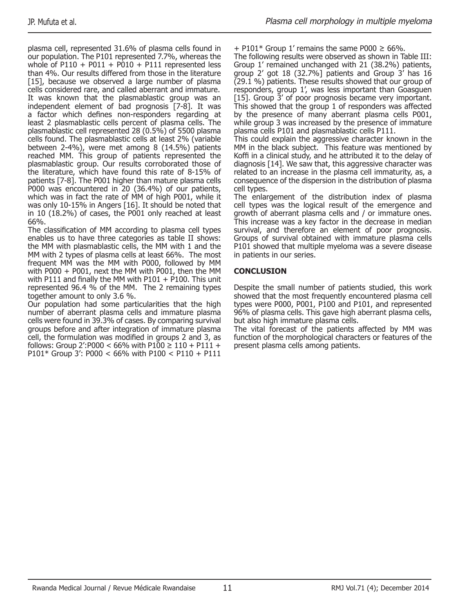plasma cell, represented 31.6% of plasma cells found in our population. The P101 represented 7.7%, whereas the whole of P110 + P011 + P010 + P111 represented less than 4%. Our results differed from those in the literature [15], because we observed a large number of plasma cells considered rare, and called aberrant and immature. It was known that the plasmablastic group was an independent element of bad prognosis [7-8]. It was a factor which defines non-responders regarding at least 2 plasmablastic cells percent of plasma cells. The plasmablastic cell represented 28 (0.5%) of 5500 plasma cells found. The plasmablastic cells at least 2% (variable between 2-4%), were met among 8 (14.5%) patients reached MM. This group of patients represented the plasmablastic group. Our results corroborated those of the literature, which have found this rate of 8-15% of patients [7-8]. The P001 higher than mature plasma cells P000 was encountered in 20 (36.4%) of our patients, which was in fact the rate of MM of high P001, while it was only 10-15% in Angers [16]. It should be noted that in 10 (18.2%) of cases, the P001 only reached at least 66%.

The classification of MM according to plasma cell types enables us to have three categories as table II shows: the MM with plasmablastic cells, the MM with 1 and the MM with 2 types of plasma cells at least 66%. The most frequent MM was the MM with P000, followed by MM with P000 + P001, next the MM with P001, then the MM with P111 and finally the MM with P101 + P100. This unit represented 96.4 % of the MM. The 2 remaining types together amount to only 3.6 %.

Our population had some particularities that the high number of aberrant plasma cells and immature plasma cells were found in 39.3% of cases. By comparing survival groups before and after integration of immature plasma cell, the formulation was modified in groups 2 and 3, as follows: Group 2': P000 < 66% with P100  $\geq$  110 + P111 + P101\* Group 3': P000 < 66% with P100 < P110 + P111

 $+$  P101\* Group 1' remains the same P000  $\geq$  66%.

The following results were observed as shown in Table III: Group 1' remained unchanged with 21 (38.2%) patients, group 2' got 18  $(32.7%)$  patients and Group  $3'$  has 16  $(29.1 \%)$  patients. These results showed that our group of responders, group 1', was less important than Goasguen [15]. Group 3' of poor prognosis became very important. This showed that the group 1 of responders was affected by the presence of many aberrant plasma cells P001, while group 3 was increased by the presence of immature plasma cells P101 and plasmablastic cells P111.

This could explain the aggressive character known in the MM in the black subject. This feature was mentioned by Koffi in a clinical study, and he attributed it to the delay of diagnosis [14]. We saw that, this aggressive character was related to an increase in the plasma cell immaturity, as, a consequence of the dispersion in the distribution of plasma cell types.

The enlargement of the distribution index of plasma cell types was the logical result of the emergence and growth of aberrant plasma cells and / or immature ones. This increase was a key factor in the decrease in median survival, and therefore an element of poor prognosis. Groups of survival obtained with immature plasma cells P101 showed that multiple myeloma was a severe disease in patients in our series.

### **CONCLUSION**

Despite the small number of patients studied, this work showed that the most frequently encountered plasma cell types were P000, P001, P100 and P101, and represented 96% of plasma cells. This gave high aberrant plasma cells, but also high immature plasma cells.

The vital forecast of the patients affected by MM was function of the morphological characters or features of the present plasma cells among patients.